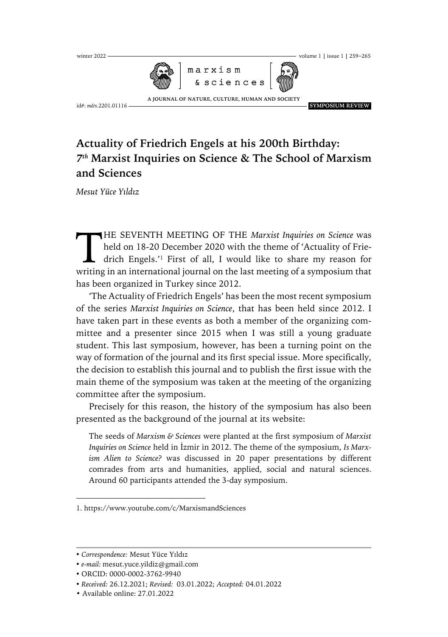

## **Actuality of Friedrich Engels at his 200th Birthday:**  *7th* **Marxist Inquiries on Science & The School of Marxism and Sciences**

*Mesut Yüce Yıldız*

HE SEVENTH MEETING OF THE *Marxist Inquiries on Science* was held on 18-20 December 2020 with the theme of 'Actuality of Friedrich Engels.'1 First of all, I would like to share my reason for HE SEVENTH MEETING OF THE Marxist Inquiries on Science was held on 18-20 December 2020 with the theme of 'Actuality of Friedrich Engels.'<sup>1</sup> First of all, I would like to share my reason for writing in an international jou has been organized in Turkey since 2012.

'The Actuality of Friedrich Engels' has been the most recent symposium of the series *Marxist Inquiries on Science*, that has been held since 2012. I have taken part in these events as both a member of the organizing committee and a presenter since 2015 when I was still a young graduate student. This last symposium, however, has been a turning point on the way of formation of the journal and its first special issue. More specifically, the decision to establish this journal and to publish the first issue with the main theme of the symposium was taken at the meeting of the organizing committee after the symposium.

Precisely for this reason, the history of the symposium has also been presented as the background of the journal at its website:

The seeds of *Marxism & Sciences* were planted at the first symposium of *Marxist Inquiries on Science* held in İzmir in 2012. The theme of the symposium, *Is Marxism Alien to Science?* was discussed in 20 paper presentations by different comrades from arts and humanities, applied, social and natural sciences. Around 60 participants attended the 3-day symposium.

 $\overline{a}$ 

<sup>1.</sup> https://www.youtube.com/c/MarxismandSciences

<sup>•</sup> *Correspondence:* Mesut Yüce Yıldız

<sup>•</sup> *e-mail:* mesut.yuce.yildiz@gmail.com

<sup>•</sup> ORCID: 0000-0002-3762-9940

<sup>•</sup> *Received:* 26.12.2021; *Revised:* 03.01.2022; *Accepted:* 04.01.2022

<sup>•</sup> Available online: 27.01.2022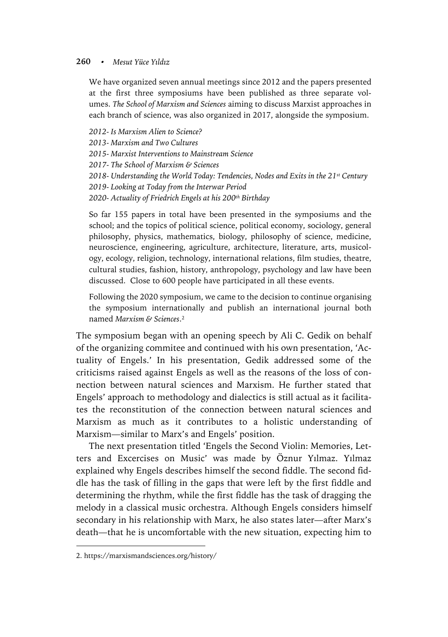## **260**• *Mesut Yüce Yıldız*

We have organized seven annual meetings since 2012 and the papers presented at the first three symposiums have been published as three separate volumes. *The School of Marxism and Sciences* aiming to discuss Marxist approaches in each branch of science, was also organized in 2017, alongside the symposium.

*2012- Is Marxism Alien to Science? 2013- Marxism and Two Cultures 2015- Marxist Interventions to Mainstream Science 2017- The School of Marxism & Sciences 2018- Understanding the World Today: Tendencies, Nodes and Exits in the 21st Century 2019- Looking at Today from the Interwar Period 2020- Actuality of Friedrich Engels at his 200th Birthday*

So far 155 papers in total have been presented in the symposiums and the school; and the topics of political science, political economy, sociology, general philosophy, physics, mathematics, biology, philosophy of science, medicine, neuroscience, engineering, agriculture, architecture, literature, arts, musicology, ecology, religion, technology, international relations, film studies, theatre, cultural studies, fashion, history, anthropology, psychology and law have been discussed. Close to 600 people have participated in all these events.

Following the 2020 symposium, we came to the decision to continue organising the symposium internationally and publish an international journal both named *Marxism & Sciences*.2

The symposium began with an opening speech by Ali C. Gedik on behalf of the organizing commitee and continued with his own presentation, 'Actuality of Engels.' In his presentation, Gedik addressed some of the criticisms raised against Engels as well as the reasons of the loss of connection between natural sciences and Marxism. He further stated that Engels' approach to methodology and dialectics is still actual as it facilitates the reconstitution of the connection between natural sciences and Marxism as much as it contributes to a holistic understanding of Marxism—similar to Marx's and Engels' position.

The next presentation titled 'Engels the Second Violin: Memories, Letters and Excercises on Music' was made by Öznur Yılmaz. Yılmaz explained why Engels describes himself the second fiddle. The second fiddle has the task of filling in the gaps that were left by the first fiddle and determining the rhythm, while the first fiddle has the task of dragging the melody in a classical music orchestra. Although Engels considers himself secondary in his relationship with Marx, he also states later—after Marx's death—that he is uncomfortable with the new situation, expecting him to

 $\overline{a}$ 

<sup>2.</sup> https://marxismandsciences.org/history/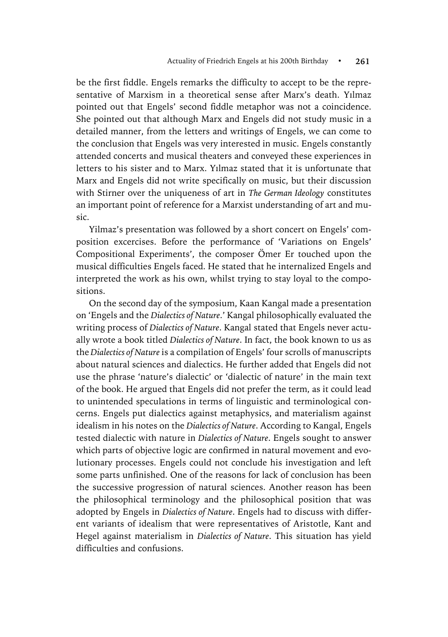be the first fiddle. Engels remarks the difficulty to accept to be the representative of Marxism in a theoretical sense after Marx's death. Yılmaz pointed out that Engels' second fiddle metaphor was not a coincidence. She pointed out that although Marx and Engels did not study music in a detailed manner, from the letters and writings of Engels, we can come to the conclusion that Engels was very interested in music. Engels constantly attended concerts and musical theaters and conveyed these experiences in letters to his sister and to Marx. Yılmaz stated that it is unfortunate that Marx and Engels did not write specifically on music, but their discussion with Stirner over the uniqueness of art in *The German Ideology* constitutes an important point of reference for a Marxist understanding of art and music.

Yilmaz's presentation was followed by a short concert on Engels' composition excercises. Before the performance of 'Variations on Engels' Compositional Experiments', the composer Ömer Er touched upon the musical difficulties Engels faced. He stated that he internalized Engels and interpreted the work as his own, whilst trying to stay loyal to the compositions.

On the second day of the symposium, Kaan Kangal made a presentation on 'Engels and the *Dialectics of Nature*.' Kangal philosophically evaluated the writing process of *Dialectics of Nature*. Kangal stated that Engels never actually wrote a book titled *Dialectics of Nature*. In fact, the book known to us as the *Dialectics of Nature* is a compilation of Engels' four scrolls of manuscripts about natural sciences and dialectics. He further added that Engels did not use the phrase 'nature's dialectic' or 'dialectic of nature' in the main text of the book. He argued that Engels did not prefer the term, as it could lead to unintended speculations in terms of linguistic and terminological concerns. Engels put dialectics against metaphysics, and materialism against idealism in his notes on the *Dialectics of Nature*. According to Kangal, Engels tested dialectic with nature in *Dialectics of Nature*. Engels sought to answer which parts of objective logic are confirmed in natural movement and evolutionary processes. Engels could not conclude his investigation and left some parts unfinished. One of the reasons for lack of conclusion has been the successive progression of natural sciences. Another reason has been the philosophical terminology and the philosophical position that was adopted by Engels in *Dialectics of Nature*. Engels had to discuss with different variants of idealism that were representatives of Aristotle, Kant and Hegel against materialism in *Dialectics of Nature*. This situation has yield difficulties and confusions.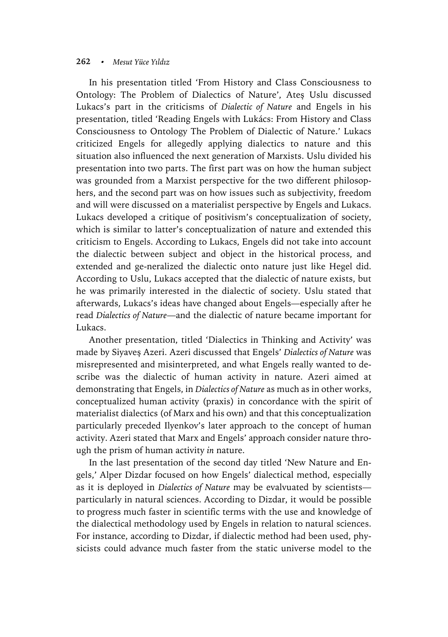## **262**• *Mesut Yüce Yıldız*

In his presentation titled 'From History and Class Consciousness to Ontology: The Problem of Dialectics of Nature', Ateş Uslu discussed Lukacs's part in the criticisms of *Dialectic of Nature* and Engels in his presentation, titled 'Reading Engels with Lukács: From History and Class Consciousness to Ontology The Problem of Dialectic of Nature.' Lukacs criticized Engels for allegedly applying dialectics to nature and this situation also influenced the next generation of Marxists. Uslu divided his presentation into two parts. The first part was on how the human subject was grounded from a Marxist perspective for the two different philosophers, and the second part was on how issues such as subjectivity, freedom and will were discussed on a materialist perspective by Engels and Lukacs. Lukacs developed a critique of positivism's conceptualization of society, which is similar to latter's conceptualization of nature and extended this criticism to Engels. According to Lukacs, Engels did not take into account the dialectic between subject and object in the historical process, and extended and ge-neralized the dialectic onto nature just like Hegel did. According to Uslu, Lukacs accepted that the dialectic of nature exists, but he was primarily interested in the dialectic of society. Uslu stated that afterwards, Lukacs's ideas have changed about Engels—especially after he read *Dialectics of Nature*—and the dialectic of nature became important for Lukacs.

Another presentation, titled 'Dialectics in Thinking and Activity' was made by Siyaveş Azeri. Azeri discussed that Engels' *Dialectics of Nature* was misrepresented and misinterpreted, and what Engels really wanted to describe was the dialectic of human activity in nature. Azeri aimed at demonstrating that Engels, in *Dialectics of Nature* as much as in other works, conceptualized human activity (praxis) in concordance with the spirit of materialist dialectics (of Marx and his own) and that this conceptualization particularly preceded Ilyenkov's later approach to the concept of human activity. Azeri stated that Marx and Engels' approach consider nature through the prism of human activity *in* nature.

In the last presentation of the second day titled 'New Nature and Engels,' Alper Dizdar focused on how Engels' dialectical method, especially as it is deployed in *Dialectics of Nature* may be evalvuated by scientists particularly in natural sciences. According to Dizdar, it would be possible to progress much faster in scientific terms with the use and knowledge of the dialectical methodology used by Engels in relation to natural sciences. For instance, according to Dizdar, if dialectic method had been used, physicists could advance much faster from the static universe model to the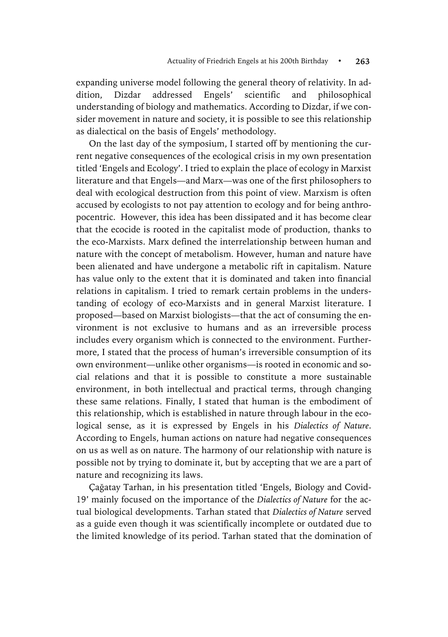expanding universe model following the general theory of relativity. In addition, Dizdar addressed Engels' scientific and philosophical understanding of biology and mathematics. According to Dizdar, if we consider movement in nature and society, it is possible to see this relationship as dialectical on the basis of Engels' methodology.

On the last day of the symposium, I started off by mentioning the current negative consequences of the ecological crisis in my own presentation titled 'Engels and Ecology'. I tried to explain the place of ecology in Marxist literature and that Engels—and Marx—was one of the first philosophers to deal with ecological destruction from this point of view. Marxism is often accused by ecologists to not pay attention to ecology and for being anthropocentric. However, this idea has been dissipated and it has become clear that the ecocide is rooted in the capitalist mode of production, thanks to the eco-Marxists. Marx defined the interrelationship between human and nature with the concept of metabolism. However, human and nature have been alienated and have undergone a metabolic rift in capitalism. Nature has value only to the extent that it is dominated and taken into financial relations in capitalism. I tried to remark certain problems in the understanding of ecology of eco-Marxists and in general Marxist literature. I proposed—based on Marxist biologists—that the act of consuming the environment is not exclusive to humans and as an irreversible process includes every organism which is connected to the environment. Furthermore, I stated that the process of human's irreversible consumption of its own environment—unlike other organisms—is rooted in economic and social relations and that it is possible to constitute a more sustainable environment, in both intellectual and practical terms, through changing these same relations. Finally, I stated that human is the embodiment of this relationship, which is established in nature through labour in the ecological sense, as it is expressed by Engels in his *Dialectics of Nature*. According to Engels, human actions on nature had negative consequences on us as well as on nature. The harmony of our relationship with nature is possible not by trying to dominate it, but by accepting that we are a part of nature and recognizing its laws.

Çağatay Tarhan, in his presentation titled 'Engels, Biology and Covid-19' mainly focused on the importance of the *Dialectics of Nature* for the actual biological developments. Tarhan stated that *Dialectics of Nature* served as a guide even though it was scientifically incomplete or outdated due to the limited knowledge of its period. Tarhan stated that the domination of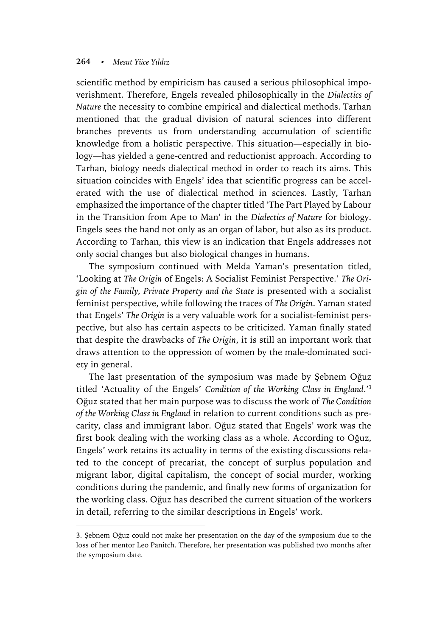## **264**• *Mesut Yüce Yıldız*

 $\overline{a}$ 

scientific method by empiricism has caused a serious philosophical impoverishment. Therefore, Engels revealed philosophically in the *Dialectics of Nature* the necessity to combine empirical and dialectical methods. Tarhan mentioned that the gradual division of natural sciences into different branches prevents us from understanding accumulation of scientific knowledge from a holistic perspective. This situation—especially in biology—has yielded a gene-centred and reductionist approach. According to Tarhan, biology needs dialectical method in order to reach its aims. This situation coincides with Engels' idea that scientific progress can be accelerated with the use of dialectical method in sciences. Lastly, Tarhan emphasized the importance of the chapter titled 'The Part Played by Labour in the Transition from Ape to Man' in the *Dialectics of Nature* for biology. Engels sees the hand not only as an organ of labor, but also as its product. According to Tarhan, this view is an indication that Engels addresses not only social changes but also biological changes in humans.

The symposium continued with Melda Yaman's presentation titled, 'Looking at *The Origin* of Engels: A Socialist Feminist Perspective.' *The Origin of the Family, Private Property and the State* is presented with a socialist feminist perspective, while following the traces of *The Origin*. Yaman stated that Engels' *The Origin* is a very valuable work for a socialist-feminist perspective, but also has certain aspects to be criticized. Yaman finally stated that despite the drawbacks of *The Origin*, it is still an important work that draws attention to the oppression of women by the male-dominated society in general.

The last presentation of the symposium was made by Şebnem Oğuz titled 'Actuality of the Engels' *Condition of the Working Class in England*.' 3 Oğuz stated that her main purpose was to discuss the work of *The Condition of the Working Class in England* in relation to current conditions such as precarity, class and immigrant labor. Oğuz stated that Engels' work was the first book dealing with the working class as a whole. According to Oğuz, Engels' work retains its actuality in terms of the existing discussions related to the concept of precariat, the concept of surplus population and migrant labor, digital capitalism, the concept of social murder, working conditions during the pandemic, and finally new forms of organization for the working class. Oğuz has described the current situation of the workers in detail, referring to the similar descriptions in Engels' work.

<sup>3.</sup> Şebnem Oğuz could not make her presentation on the day of the symposium due to the loss of her mentor Leo Panitch. Therefore, her presentation was published two months after the symposium date.